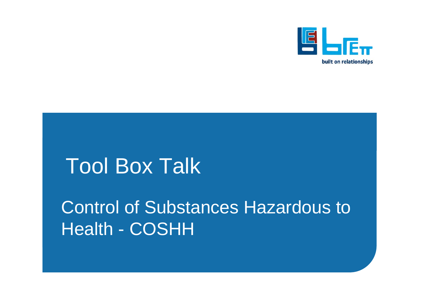

# Tool Box Talk

### Control of Substances Hazardous to Health - COSHH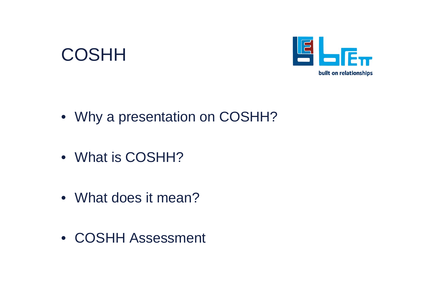#### **COSHH**



- Why a presentation on COSHH?
- What is COSHH?
- What does it mean?
- COSHH Assessment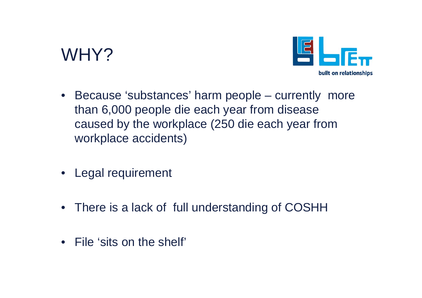#### WHY?



- Because 'substances' harm people currently more than 6,000 people die each year from disease caused by the workplace (250 die each year from workplace accidents)
- •Legal requirement
- There is a lack of full understanding of COSHH
- File 'sits on the shelf'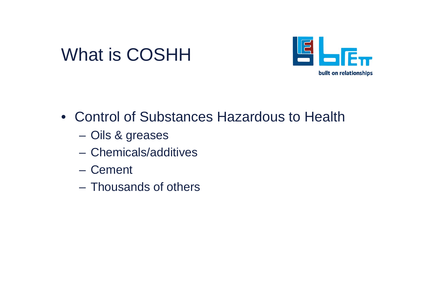### What is COSHH



- Control of Substances Hazardous to Health
	- **Hart Communication** Oils & greases
	- Chemicals/additives
	- Cement
	- Thousands of others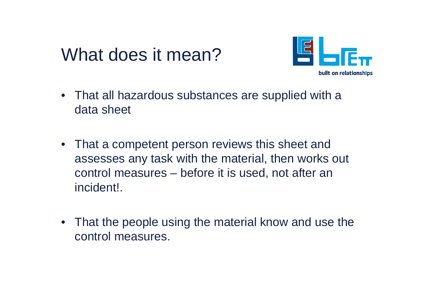### What does it mean?



- That all hazardous substances are supplied with a data sheet
- That a competent person reviews this sheet and assesses any task with the material, then works out control measures – before it is used, not after an incident!.
- That the people using the material know and use the control measures.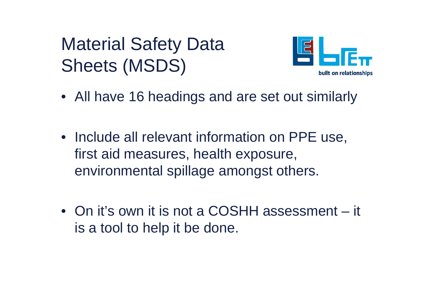# Material Safety Data Sheets (MSDS)



- All have 16 headings and are set out similarly
- Include all relevant information on PPE use, first aid measures, health exposure, environmental spillage amongst others.
- On it's own it is not a COSHH assessment it is a tool to help it be done.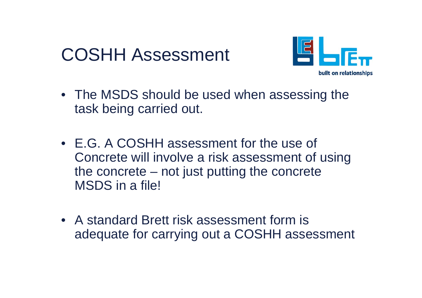## COSHH Assessment



- The MSDS should be used when assessing the task being carried out.
- E.G. A COSHH assessment for the use of Concrete will involve a risk assessment of using the concrete – not just putting the concrete MSDS in a file!
- A standard Brett risk assessment form is adequate for carrying out a COSHH assessment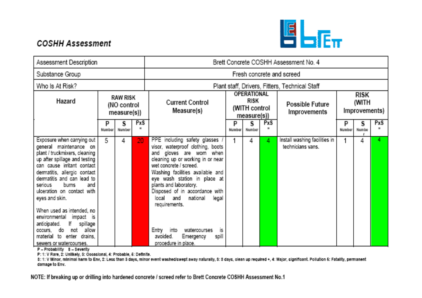#### **COSHH Assessment**



| Assessment Description                                                                                                                                                                                                                                                                          |                                               |              |     | Brett Concrete COSHH Assessment No. 4                                                                                                                                                                                                                                                                                                         |                                                                  |              |     |                                                    |                                       |             |            |
|-------------------------------------------------------------------------------------------------------------------------------------------------------------------------------------------------------------------------------------------------------------------------------------------------|-----------------------------------------------|--------------|-----|-----------------------------------------------------------------------------------------------------------------------------------------------------------------------------------------------------------------------------------------------------------------------------------------------------------------------------------------------|------------------------------------------------------------------|--------------|-----|----------------------------------------------------|---------------------------------------|-------------|------------|
| Substance Group                                                                                                                                                                                                                                                                                 |                                               |              |     | Fresh concrete and screed                                                                                                                                                                                                                                                                                                                     |                                                                  |              |     |                                                    |                                       |             |            |
| Who Is At Risk?                                                                                                                                                                                                                                                                                 |                                               |              |     | Plant staff, Drivers, Fitters, Technical Staff                                                                                                                                                                                                                                                                                                |                                                                  |              |     |                                                    |                                       |             |            |
| Hazard                                                                                                                                                                                                                                                                                          | <b>RAW RISK</b><br>(NO control)<br>measure(s) |              |     | <b>Current Control</b><br>Measure(s)                                                                                                                                                                                                                                                                                                          | <b>OPERATIONAL</b><br><b>RISK</b><br>(WITH control<br>measure(s) |              |     | <b>Possible Future</b><br><b>Improvements</b>      | <b>RISK</b><br>(WITH<br>Improvements) |             |            |
|                                                                                                                                                                                                                                                                                                 | P<br>Number                                   | S.<br>Number | PxS |                                                                                                                                                                                                                                                                                                                                               | P<br>Number                                                      | S.<br>Number | PxS |                                                    | Р<br>Number                           | S<br>Number | <b>PxS</b> |
| Exposure when carrying out<br>general maintenance on<br>plant / truckmixers, cleaning<br>up after spillage and testing<br>can cause irritant contact<br>dermatitis, allergic contact<br>dermatitis and can lead to<br>bums.<br>and<br>SPEKTIST.<br>ulceration on contact with<br>eyes and skin. | 5.                                            | 4            | 20  | PPE including safety glasses /<br>visor, waterproof clothing, boots<br>and gloves are wom when<br>cleaning up or working in or near<br>wet concrete / screed.<br>Washing facilities available and<br>eye wash station in place at<br>plants and laboratory.<br>Disposed of in accordance with<br>local and national<br>legal<br>requirements. | 1                                                                | 4.           | 4.  | Install washing facilities in<br>technicians vans. |                                       | 4           |            |
| When used as intended, no<br>environmental impact is<br>anticipated.<br>折。<br>spillage<br>allow<br>occurs, do not<br>material to enter drains.<br>sewers or watercourses.                                                                                                                       |                                               |              |     | Entry into<br>watercourses<br>-lS<br>avoided.<br>Emergency<br>spill<br>procedure in place.                                                                                                                                                                                                                                                    |                                                                  |              |     |                                                    |                                       |             |            |

P - Probability 8 - Severity

P: 1: V Rare, 2: Unlikely, 3: Occasional, 4: Probable, 5: Definite.

8: 1: V Minor, minimal harm to Env, 2: Less than 3 days, minor event washed/swept away naturally, 3: 3 days, olean up required +, 4: Major, significant. Pollution 6: Fatality, permanent damage to Env.

NOTE: If breaking up or drilling into hardened concrete / screed refer to Brett Concrete COSHH Assessment No.1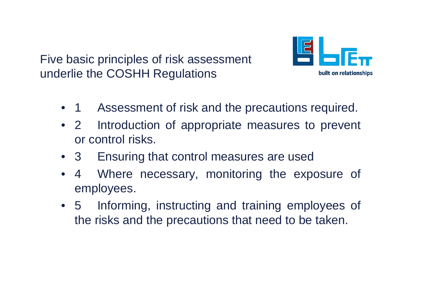Five basic principles of risk assessment underlie the COSHH Regulations



- 1 Assessment of risk and the precautions required.
- 2 Introduction of appropriate measures to prevent or control risks.
- 3 3 Ensuring that control measures are used
- $\bullet$  4 Where necessary, monitoring the exposure of employees.
- 5 Informing, instructing and training employees of the risks and the precautions that need to be taken.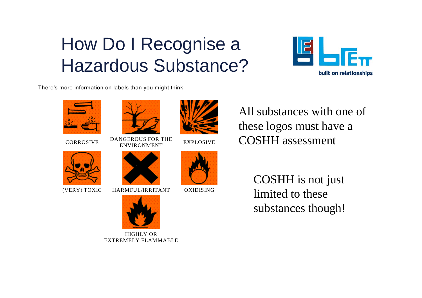# How Do I Recognise a Hazardous Substance?



There's more information on labels than you might think.



CORROSIVE



DANGEROUS FOR THE ENVIRONMENT



#### EXPLOSIVE

All substances with one of these logos must have a COSHH assessment





(VERY) TOXIC HARMFUL/IRRITANT OXIDISING



COSHH is not just limited to these substances though!



HIGHLY OR EXTREMELY FLAMMABLE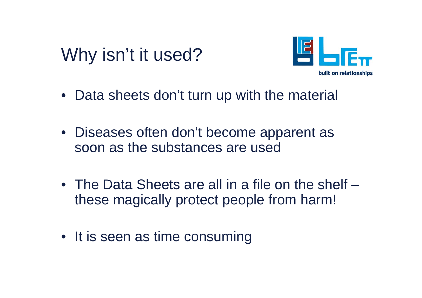# Why isn't it used?



- Data sheets don't turn up with the material
- Diseases often don't become apparent as soon as the substances are used
- The Data Sheets are all in a file on the shelf –these magically protect people from harm!
- It is seen as time consuming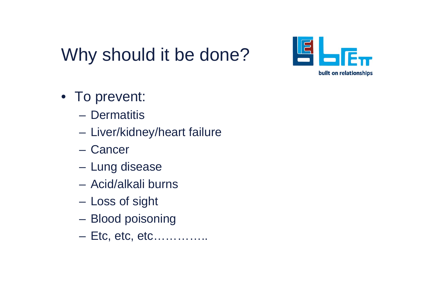# Why should it be done?



- To prevent:
	- Dermatitis
	- **Hart Community** Liver/kidney/heart failure
	- Cancer
	- **Hart Community** Lung disease
	- Acid/alkali burns
	- –Loss of sight
	- –Blood poisoning
	- –Etc, etc, etc…………..